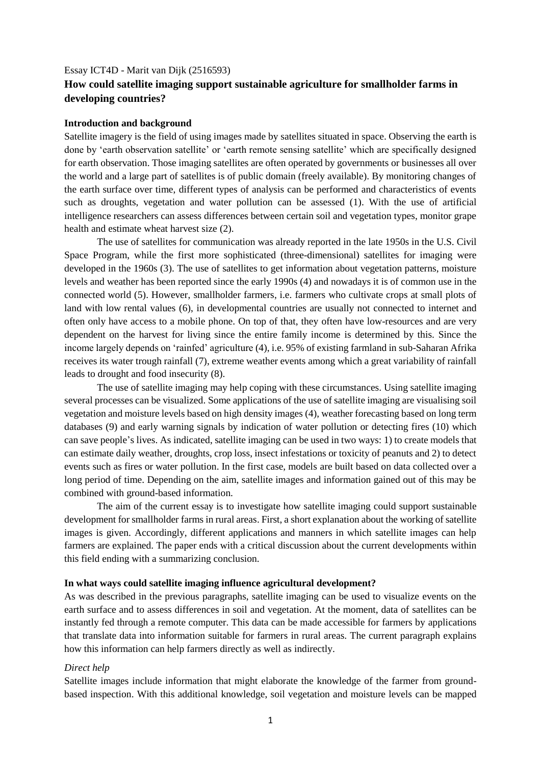### Essay ICT4D - Marit van Dijk (2516593)

# **How could satellite imaging support sustainable agriculture for smallholder farms in developing countries?**

#### **Introduction and background**

Satellite imagery is the field of using images made by satellites situated in space. Observing the earth is done by 'earth observation satellite' or 'earth remote sensing satellite' which are specifically designed for earth observation. Those imaging satellites are often operated by governments or businesses all over the world and a large part of satellites is of public domain (freely available). By monitoring changes of the earth surface over time, different types of analysis can be performed and characteristics of events such as droughts, vegetation and water pollution can be assessed (1). With the use of artificial intelligence researchers can assess differences between certain soil and vegetation types, monitor grape health and estimate wheat harvest size (2).

The use of satellites for communication was already reported in the late 1950s in the U.S. Civil Space Program, while the first more sophisticated (three-dimensional) satellites for imaging were developed in the 1960s (3). The use of satellites to get information about vegetation patterns, moisture levels and weather has been reported since the early 1990s (4) and nowadays it is of common use in the connected world (5). However, smallholder farmers, i.e. farmers who cultivate crops at small plots of land with low rental values (6), in developmental countries are usually not connected to internet and often only have access to a mobile phone. On top of that, they often have low-resources and are very dependent on the harvest for living since the entire family income is determined by this. Since the income largely depends on 'rainfed' agriculture (4), i.e. 95% of existing farmland in sub-Saharan Afrika receives its water trough rainfall (7), extreme weather events among which a great variability of rainfall leads to drought and food insecurity (8).

The use of satellite imaging may help coping with these circumstances. Using satellite imaging several processes can be visualized. Some applications of the use of satellite imaging are visualising soil vegetation and moisture levels based on high density images (4), weather forecasting based on long term databases (9) and early warning signals by indication of water pollution or detecting fires (10) which can save people's lives. As indicated, satellite imaging can be used in two ways: 1) to create models that can estimate daily weather, droughts, crop loss, insect infestations or toxicity of peanuts and 2) to detect events such as fires or water pollution. In the first case, models are built based on data collected over a long period of time. Depending on the aim, satellite images and information gained out of this may be combined with ground-based information.

The aim of the current essay is to investigate how satellite imaging could support sustainable development for smallholder farms in rural areas. First, a short explanation about the working of satellite images is given. Accordingly, different applications and manners in which satellite images can help farmers are explained. The paper ends with a critical discussion about the current developments within this field ending with a summarizing conclusion.

#### **In what ways could satellite imaging influence agricultural development?**

As was described in the previous paragraphs, satellite imaging can be used to visualize events on the earth surface and to assess differences in soil and vegetation. At the moment, data of satellites can be instantly fed through a remote computer. This data can be made accessible for farmers by applications that translate data into information suitable for farmers in rural areas. The current paragraph explains how this information can help farmers directly as well as indirectly.

### *Direct help*

Satellite images include information that might elaborate the knowledge of the farmer from groundbased inspection. With this additional knowledge, soil vegetation and moisture levels can be mapped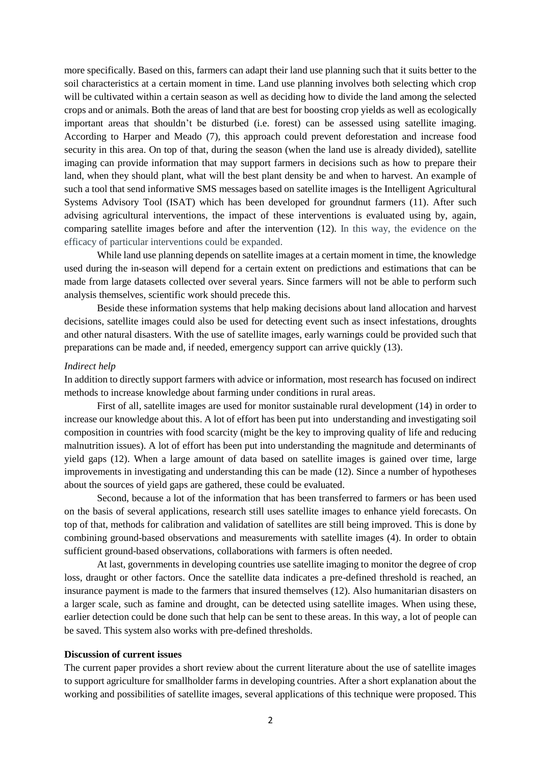more specifically. Based on this, farmers can adapt their land use planning such that it suits better to the soil characteristics at a certain moment in time. Land use planning involves both selecting which crop will be cultivated within a certain season as well as deciding how to divide the land among the selected crops and or animals. Both the areas of land that are best for boosting crop yields as well as ecologically important areas that shouldn't be disturbed (i.e. forest) can be assessed using satellite imaging. According to Harper and Meado (7), this approach could prevent deforestation and increase food security in this area. On top of that, during the season (when the land use is already divided), satellite imaging can provide information that may support farmers in decisions such as how to prepare their land, when they should plant, what will the best plant density be and when to harvest. An example of such a tool that send informative SMS messages based on satellite images is the Intelligent Agricultural Systems Advisory Tool (ISAT) which has been developed for groundnut farmers (11). After such advising agricultural interventions, the impact of these interventions is evaluated using by, again, comparing satellite images before and after the intervention (12). In this way, the evidence on the efficacy of particular interventions could be expanded.

While land use planning depends on satellite images at a certain moment in time, the knowledge used during the in-season will depend for a certain extent on predictions and estimations that can be made from large datasets collected over several years. Since farmers will not be able to perform such analysis themselves, scientific work should precede this.

Beside these information systems that help making decisions about land allocation and harvest decisions, satellite images could also be used for detecting event such as insect infestations, droughts and other natural disasters. With the use of satellite images, early warnings could be provided such that preparations can be made and, if needed, emergency support can arrive quickly (13).

#### *Indirect help*

In addition to directly support farmers with advice or information, most research has focused on indirect methods to increase knowledge about farming under conditions in rural areas.

First of all, satellite images are used for monitor sustainable rural development (14) in order to increase our knowledge about this. A lot of effort has been put into understanding and investigating soil composition in countries with food scarcity (might be the key to improving quality of life and reducing malnutrition issues). A lot of effort has been put into understanding the magnitude and determinants of yield gaps (12). When a large amount of data based on satellite images is gained over time, large improvements in investigating and understanding this can be made (12). Since a number of hypotheses about the sources of yield gaps are gathered, these could be evaluated.

Second, because a lot of the information that has been transferred to farmers or has been used on the basis of several applications, research still uses satellite images to enhance yield forecasts. On top of that, methods for calibration and validation of satellites are still being improved. This is done by combining ground-based observations and measurements with satellite images (4). In order to obtain sufficient ground-based observations, collaborations with farmers is often needed.

At last, governments in developing countries use satellite imaging to monitor the degree of crop loss, draught or other factors. Once the satellite data indicates a pre-defined threshold is reached, an insurance payment is made to the farmers that insured themselves (12). Also humanitarian disasters on a larger scale, such as famine and drought, can be detected using satellite images. When using these, earlier detection could be done such that help can be sent to these areas. In this way, a lot of people can be saved. This system also works with pre-defined thresholds.

# **Discussion of current issues**

The current paper provides a short review about the current literature about the use of satellite images to support agriculture for smallholder farms in developing countries. After a short explanation about the working and possibilities of satellite images, several applications of this technique were proposed. This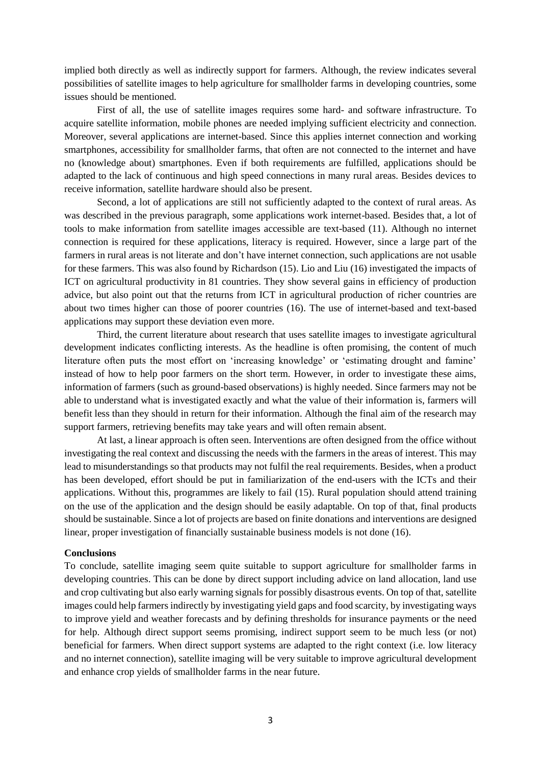implied both directly as well as indirectly support for farmers. Although, the review indicates several possibilities of satellite images to help agriculture for smallholder farms in developing countries, some issues should be mentioned.

First of all, the use of satellite images requires some hard- and software infrastructure. To acquire satellite information, mobile phones are needed implying sufficient electricity and connection. Moreover, several applications are internet-based. Since this applies internet connection and working smartphones, accessibility for smallholder farms, that often are not connected to the internet and have no (knowledge about) smartphones. Even if both requirements are fulfilled, applications should be adapted to the lack of continuous and high speed connections in many rural areas. Besides devices to receive information, satellite hardware should also be present.

Second, a lot of applications are still not sufficiently adapted to the context of rural areas. As was described in the previous paragraph, some applications work internet-based. Besides that, a lot of tools to make information from satellite images accessible are text-based (11). Although no internet connection is required for these applications, literacy is required. However, since a large part of the farmers in rural areas is not literate and don't have internet connection, such applications are not usable for these farmers. This was also found by Richardson (15). Lio and Liu (16) investigated the impacts of ICT on agricultural productivity in 81 countries. They show several gains in efficiency of production advice, but also point out that the returns from ICT in agricultural production of richer countries are about two times higher can those of poorer countries (16). The use of internet-based and text-based applications may support these deviation even more.

Third, the current literature about research that uses satellite images to investigate agricultural development indicates conflicting interests. As the headline is often promising, the content of much literature often puts the most effort on 'increasing knowledge' or 'estimating drought and famine' instead of how to help poor farmers on the short term. However, in order to investigate these aims, information of farmers (such as ground-based observations) is highly needed. Since farmers may not be able to understand what is investigated exactly and what the value of their information is, farmers will benefit less than they should in return for their information. Although the final aim of the research may support farmers, retrieving benefits may take years and will often remain absent.

At last, a linear approach is often seen. Interventions are often designed from the office without investigating the real context and discussing the needs with the farmers in the areas of interest. This may lead to misunderstandings so that products may not fulfil the real requirements. Besides, when a product has been developed, effort should be put in familiarization of the end-users with the ICTs and their applications. Without this, programmes are likely to fail (15). Rural population should attend training on the use of the application and the design should be easily adaptable. On top of that, final products should be sustainable. Since a lot of projects are based on finite donations and interventions are designed linear, proper investigation of financially sustainable business models is not done (16).

# **Conclusions**

To conclude, satellite imaging seem quite suitable to support agriculture for smallholder farms in developing countries. This can be done by direct support including advice on land allocation, land use and crop cultivating but also early warning signals for possibly disastrous events. On top of that, satellite images could help farmers indirectly by investigating yield gaps and food scarcity, by investigating ways to improve yield and weather forecasts and by defining thresholds for insurance payments or the need for help. Although direct support seems promising, indirect support seem to be much less (or not) beneficial for farmers. When direct support systems are adapted to the right context (i.e. low literacy and no internet connection), satellite imaging will be very suitable to improve agricultural development and enhance crop yields of smallholder farms in the near future.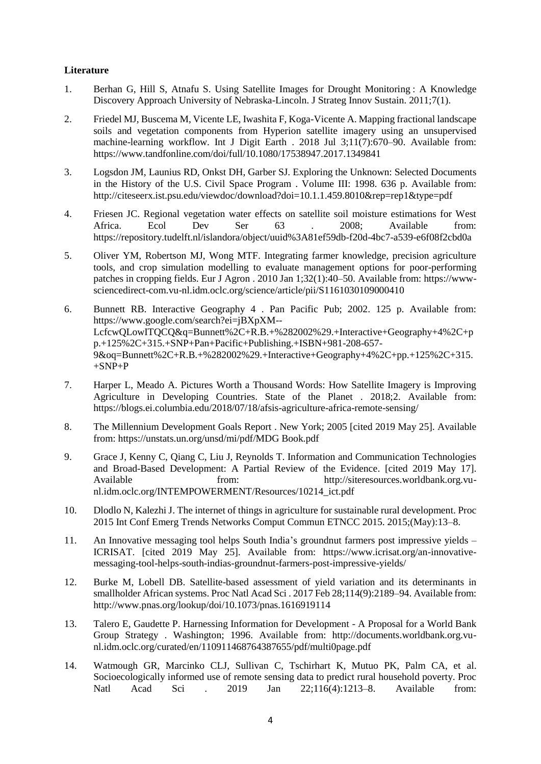# **Literature**

- 1. Berhan G, Hill S, Atnafu S. Using Satellite Images for Drought Monitoring : A Knowledge Discovery Approach University of Nebraska-Lincoln. J Strateg Innov Sustain. 2011;7(1).
- 2. Friedel MJ, Buscema M, Vicente LE, Iwashita F, Koga-Vicente A. Mapping fractional landscape soils and vegetation components from Hyperion satellite imagery using an unsupervised machine-learning workflow. Int J Digit Earth . 2018 Jul 3;11(7):670–90. Available from: https://www.tandfonline.com/doi/full/10.1080/17538947.2017.1349841
- 3. Logsdon JM, Launius RD, Onkst DH, Garber SJ. Exploring the Unknown: Selected Documents in the History of the U.S. Civil Space Program . Volume III: 1998. 636 p. Available from: http://citeseerx.ist.psu.edu/viewdoc/download?doi=10.1.1.459.8010&rep=rep1&type=pdf
- 4. Friesen JC. Regional vegetation water effects on satellite soil moisture estimations for West Africa. Ecol Dev Ser 63 . 2008; Available from: https://repository.tudelft.nl/islandora/object/uuid%3A81ef59db-f20d-4bc7-a539-e6f08f2cbd0a
- 5. Oliver YM, Robertson MJ, Wong MTF. Integrating farmer knowledge, precision agriculture tools, and crop simulation modelling to evaluate management options for poor-performing patches in cropping fields. Eur J Agron . 2010 Jan 1;32(1):40–50. Available from: https://wwwsciencedirect-com.vu-nl.idm.oclc.org/science/article/pii/S1161030109000410
- 6. Bunnett RB. Interactive Geography 4 . Pan Pacific Pub; 2002. 125 p. Available from: https://www.google.com/search?ei=jBXpXM-- LcfcwQLowITQCQ&q=Bunnett%2C+R.B.+%282002%29.+Interactive+Geography+4%2C+p p.+125%2C+315.+SNP+Pan+Pacific+Publishing.+ISBN+981-208-657- 9&oq=Bunnett%2C+R.B.+%282002%29.+Interactive+Geography+4%2C+pp.+125%2C+315.  $+$ SNP $+$ P
- 7. Harper L, Meado A. Pictures Worth a Thousand Words: How Satellite Imagery is Improving Agriculture in Developing Countries. State of the Planet . 2018;2. Available from: https://blogs.ei.columbia.edu/2018/07/18/afsis-agriculture-africa-remote-sensing/
- 8. The Millennium Development Goals Report . New York; 2005 [cited 2019 May 25]. Available from: https://unstats.un.org/unsd/mi/pdf/MDG Book.pdf
- 9. Grace J, Kenny C, Qiang C, Liu J, Reynolds T. Information and Communication Technologies and Broad-Based Development: A Partial Review of the Evidence. [cited 2019 May 17]. Available from: http://siteresources.worldbank.org.vunl.idm.oclc.org/INTEMPOWERMENT/Resources/10214\_ict.pdf
- 10. Dlodlo N, Kalezhi J. The internet of things in agriculture for sustainable rural development. Proc 2015 Int Conf Emerg Trends Networks Comput Commun ETNCC 2015. 2015;(May):13–8.
- 11. An Innovative messaging tool helps South India's groundnut farmers post impressive yields ICRISAT. [cited 2019 May 25]. Available from: https://www.icrisat.org/an-innovativemessaging-tool-helps-south-indias-groundnut-farmers-post-impressive-yields/
- 12. Burke M, Lobell DB. Satellite-based assessment of yield variation and its determinants in smallholder African systems. Proc Natl Acad Sci . 2017 Feb 28;114(9):2189–94. Available from: http://www.pnas.org/lookup/doi/10.1073/pnas.1616919114
- 13. Talero E, Gaudette P. Harnessing Information for Development A Proposal for a World Bank Group Strategy . Washington; 1996. Available from: http://documents.worldbank.org.vunl.idm.oclc.org/curated/en/110911468764387655/pdf/multi0page.pdf
- 14. Watmough GR, Marcinko CLJ, Sullivan C, Tschirhart K, Mutuo PK, Palm CA, et al. Socioecologically informed use of remote sensing data to predict rural household poverty. Proc Natl Acad Sci . 2019 Jan 22;116(4):1213–8. Available from: